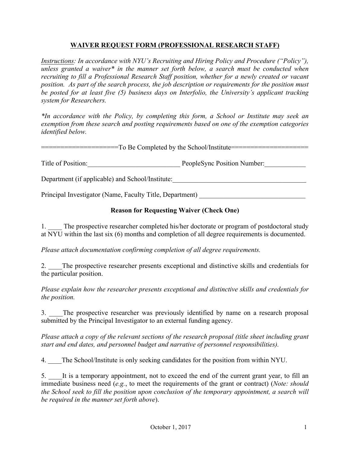## **WAIVER REQUEST FORM (PROFESSIONAL RESEARCH STAFF)**

*Instructions: In accordance with NYU's Recruiting and Hiring Policy and Procedure ("Policy"), unless granted a waiver\* in the manner set forth below, a search must be conducted when recruiting to fill a Professional Research Staff position, whether for a newly created or vacant position. As part of the search process, the job description or requirements for the position must be posted for at least five (5) business days on Interfolio, the University's applicant tracking system for Researchers.* 

*\*In accordance with the Policy, by completing this form, a School or Institute may seek an exemption from these search and posting requirements based on one of the exemption categories identified below.* 

====================To Be Completed by the School/Institute====================

Title of Position: PeopleSync Position Number:

Department (if applicable) and School/Institute:

Principal Investigator (Name, Faculty Title, Department)

## **Reason for Requesting Waiver (Check One)**

1. The prospective researcher completed his/her doctorate or program of postdoctoral study at NYU within the last six (6) months and completion of all degree requirements is documented.

*Please attach documentation confirming completion of all degree requirements.*

2. The prospective researcher presents exceptional and distinctive skills and credentials for the particular position.

*Please explain how the researcher presents exceptional and distinctive skills and credentials for the position.* 

3. \_\_\_\_The prospective researcher was previously identified by name on a research proposal submitted by the Principal Investigator to an external funding agency.

*Please attach a copy of the relevant sections of the research proposal (title sheet including grant start and end dates, and personnel budget and narrative of personnel responsibilities).* 

4. The School/Institute is only seeking candidates for the position from within NYU.

5. It is a temporary appointment, not to exceed the end of the current grant year, to fill an immediate business need (*e.g.*, to meet the requirements of the grant or contract) (*Note: should the School seek to fill the position upon conclusion of the temporary appointment, a search will be required in the manner set forth above*).